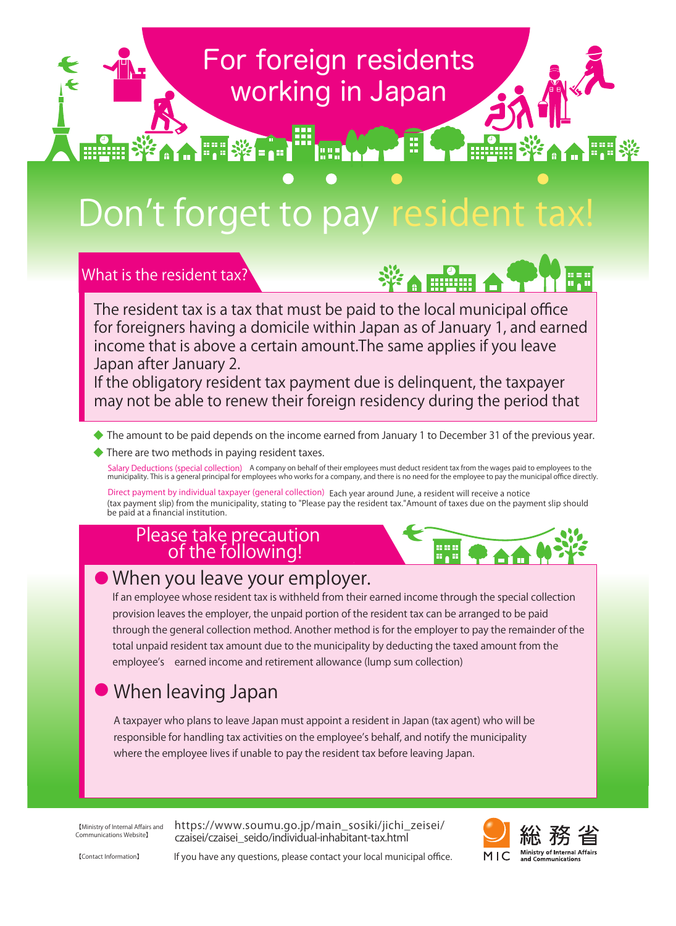## For foreign residents working in Japan

# Don't forget to pay resident ta

What is the resident tax?



**Million** 

※▲▲開業

The resident tax is a tax that must be paid to the local municipal office for foreigners having a domicile within Japan as of January 1, and earned income that is above a certain amount.The same applies if you leave Japan after January 2.

If the obligatory resident tax payment due is delinquent, the taxpayer may not be able to renew their foreign residency during the period that

- $\blacklozenge$  The amount to be paid depends on the income earned from January 1 to December 31 of the previous year.
- ◆ There are two methods in paying resident taxes.

A HE WEE

Salary Deductions (special collection) A company on behalf of their employees must deduct resident tax from the wages paid to employees to the<br>municipality. This is a general principal for employees who works for a company

Direct payment by individual taxpayer (general collection) Each year around June, a resident will receive a notice (tax payment slip) from the municipality, stating to "Please pay the resident tax."Amount of taxes due on the payment slip should be paid at a financial institution.

## Please take precaution<br>of the following!



#### $\bullet$ When you leave your employer.

If an employee whose resident tax is withheld from their earned income through the special collection provision leaves the employer, the unpaid portion of the resident tax can be arranged to be paid through the general collection method. Another method is for the employer to pay the remainder of the total unpaid resident tax amount due to the municipality by deducting the taxed amount from the employee's earned income and retirement allowance (lump sum collection)

#### $\bullet$ When leaving Japan

A taxpayer who plans to leave Japan must appoint a resident in Japan (tax agent) who will be responsible for handling tax activities on the employee's behalf, and notify the municipality where the employee lives if unable to pay the resident tax before leaving Japan.

【Ministry of Internal Affairs and Communications Website】

https://www.soumu.go.jp/main\_sosiki/jichi\_zeisei/ czaisei/czaisei\_seido/individual-inhabitant-tax.html



【Contact Information】 If you have any questions, please contact your local municipal office.